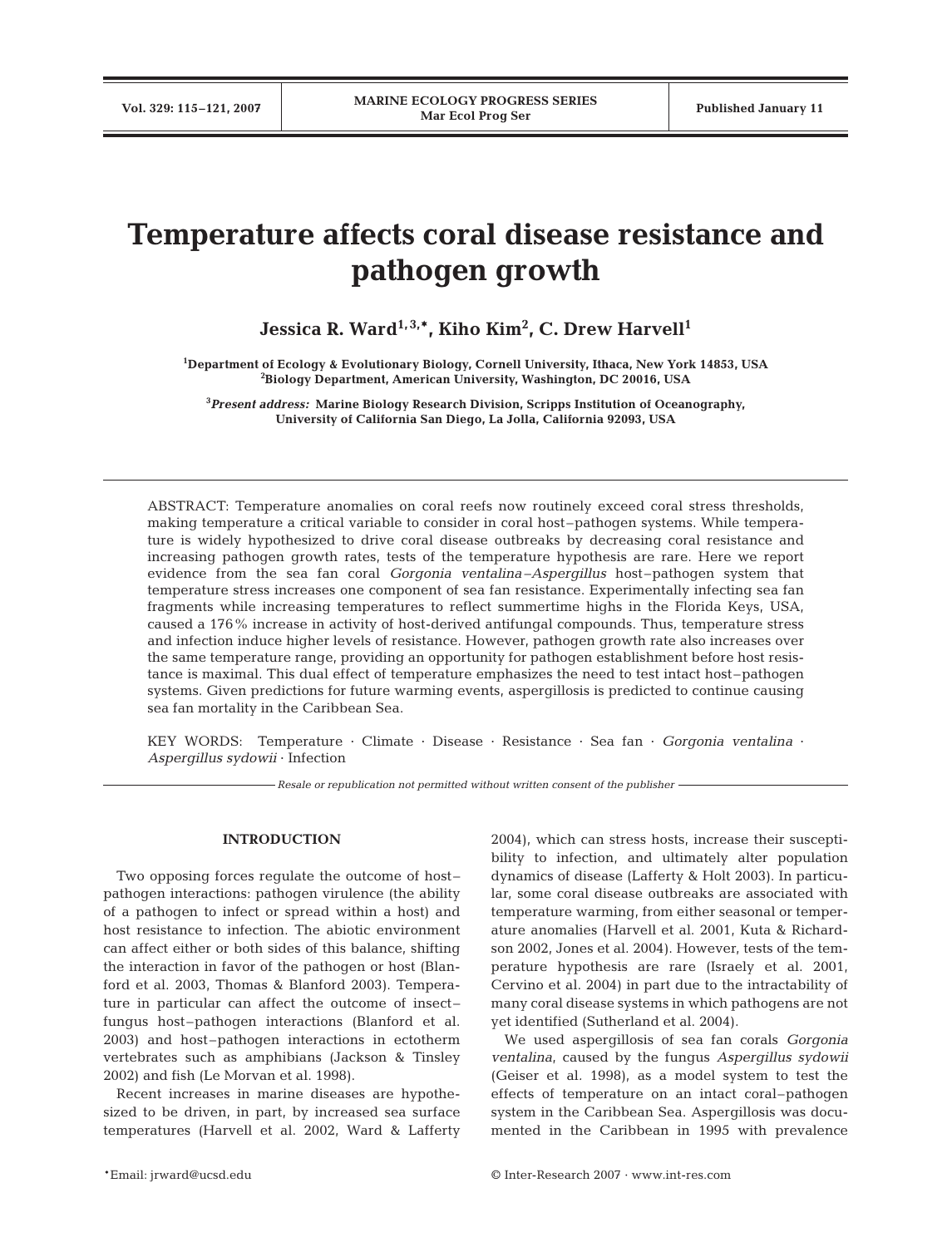# **Temperature affects coral disease resistance and pathogen growth**

Jessica R. Ward<sup>1,3,\*</sup>, Kiho Kim<sup>2</sup>, C. Drew Harvell<sup>1</sup>

**1 Department of Ecology & Evolutionary Biology, Cornell University, Ithaca, New York 14853, USA 2 Biology Department, American University, Washington, DC 20016, USA**

**3** *Present address:* **Marine Biology Research Division, Scripps Institution of Oceanography, University of California San Diego, La Jolla, California 92093, USA**

ABSTRACT: Temperature anomalies on coral reefs now routinely exceed coral stress thresholds, making temperature a critical variable to consider in coral host–pathogen systems. While temperature is widely hypothesized to drive coral disease outbreaks by decreasing coral resistance and increasing pathogen growth rates, tests of the temperature hypothesis are rare. Here we report evidence from the sea fan coral *Gorgonia ventalina* –*Aspergillus* host–pathogen system that temperature stress increases one component of sea fan resistance. Experimentally infecting sea fan fragments while increasing temperatures to reflect summertime highs in the Florida Keys, USA, caused a 176% increase in activity of host-derived antifungal compounds. Thus, temperature stress and infection induce higher levels of resistance. However, pathogen growth rate also increases over the same temperature range, providing an opportunity for pathogen establishment before host resistance is maximal. This dual effect of temperature emphasizes the need to test intact host–pathogen systems. Given predictions for future warming events, aspergillosis is predicted to continue causing sea fan mortality in the Caribbean Sea.

KEY WORDS: Temperature · Climate · Disease · Resistance · Sea fan · *Gorgonia ventalina* · *Aspergillus sydowii* · Infection

*Resale or republication not permitted without written consent of the publisher*

## **INTRODUCTION**

Two opposing forces regulate the outcome of host– pathogen interactions: pathogen virulence (the ability of a pathogen to infect or spread within a host) and host resistance to infection. The abiotic environment can affect either or both sides of this balance, shifting the interaction in favor of the pathogen or host (Blanford et al. 2003, Thomas & Blanford 2003). Temperature in particular can affect the outcome of insect– fungus host–pathogen interactions (Blanford et al. 2003) and host–pathogen interactions in ectotherm vertebrates such as amphibians (Jackson & Tinsley 2002) and fish (Le Morvan et al. 1998).

Recent increases in marine diseases are hypothesized to be driven, in part, by increased sea surface temperatures (Harvell et al. 2002, Ward & Lafferty

2004), which can stress hosts, increase their susceptibility to infection, and ultimately alter population dynamics of disease (Lafferty & Holt 2003). In particular, some coral disease outbreaks are associated with temperature warming, from either seasonal or temperature anomalies (Harvell et al. 2001, Kuta & Richardson 2002, Jones et al. 2004). However, tests of the temperature hypothesis are rare (Israely et al. 2001, Cervino et al. 2004) in part due to the intractability of many coral disease systems in which pathogens are not yet identified (Sutherland et al. 2004).

We used aspergillosis of sea fan corals *Gorgonia ventalina*, caused by the fungus *Aspergillus sydowii* (Geiser et al*.* 1998), as a model system to test the effects of temperature on an intact coral–pathogen system in the Caribbean Sea. Aspergillosis was documented in the Caribbean in 1995 with prevalence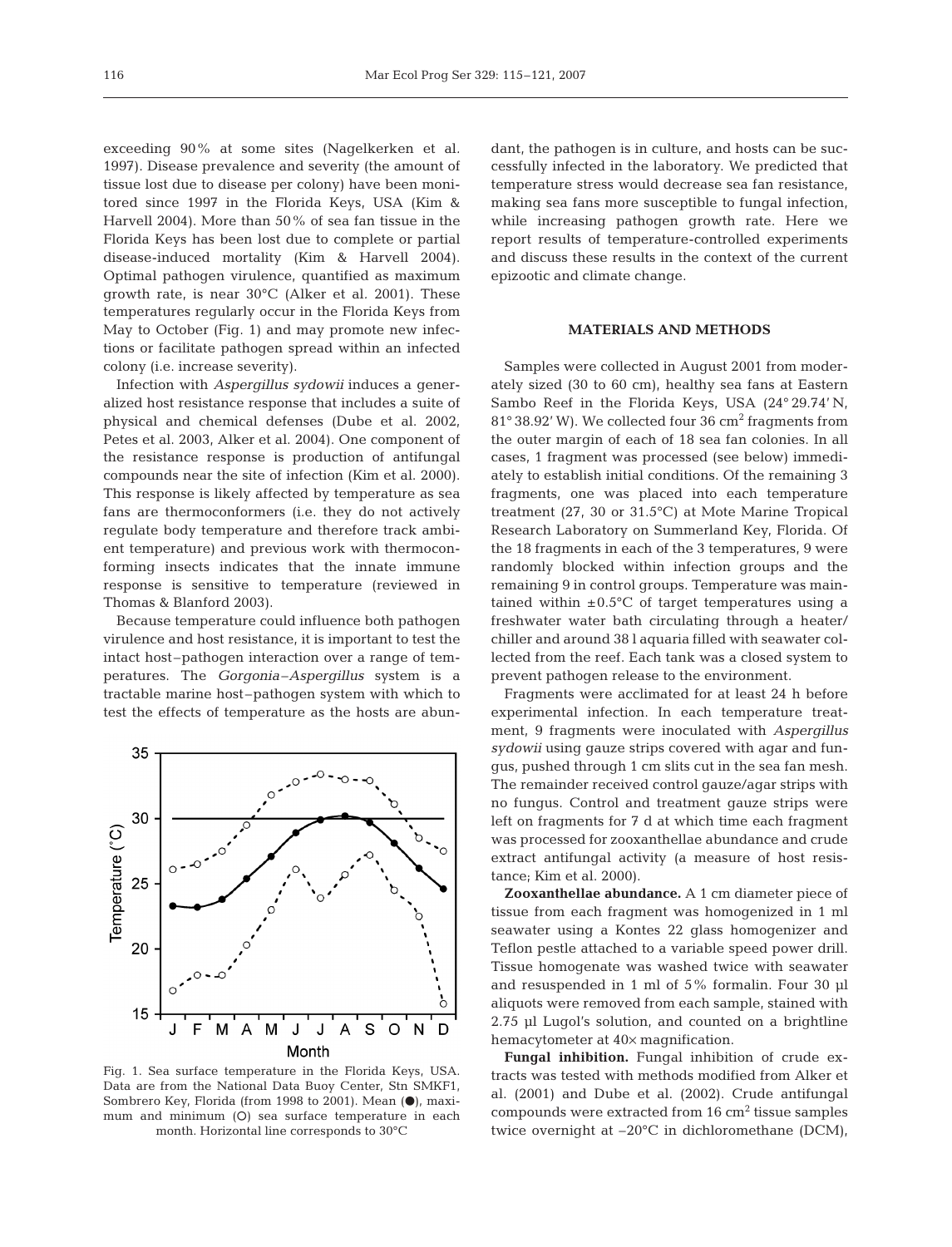exceeding 90% at some sites (Nagelkerken et al*.* 1997). Disease prevalence and severity (the amount of tissue lost due to disease per colony) have been monitored since 1997 in the Florida Keys, USA (Kim & Harvell 2004). More than 50% of sea fan tissue in the Florida Keys has been lost due to complete or partial disease-induced mortality (Kim & Harvell 2004). Optimal pathogen virulence, quantified as maximum growth rate, is near 30°C (Alker et al*.* 2001). These temperatures regularly occur in the Florida Keys from May to October (Fig. 1) and may promote new infections or facilitate pathogen spread within an infected colony (i.e. increase severity).

Infection with *Aspergillus sydowii* induces a generalized host resistance response that includes a suite of physical and chemical defenses (Dube et al. 2002, Petes et al. 2003, Alker et al. 2004). One component of the resistance response is production of antifungal compounds near the site of infection (Kim et al. 2000). This response is likely affected by temperature as sea fans are thermoconformers (i.e. they do not actively regulate body temperature and therefore track ambient temperature) and previous work with thermoconforming insects indicates that the innate immune response is sensitive to temperature (reviewed in Thomas & Blanford 2003).

Because temperature could influence both pathogen virulence and host resistance, it is important to test the intact host–pathogen interaction over a range of temperatures. The *Gorgonia–Aspergillus* system is a tractable marine host–pathogen system with which to test the effects of temperature as the hosts are abun-



Fig. 1. Sea surface temperature in the Florida Keys, USA. Data are from the National Data Buoy Center, Stn SMKF1, Sombrero Key, Florida (from 1998 to 2001). Mean  $(\bullet)$ , maximum and minimum (O) sea surface temperature in each month. Horizontal line corresponds to 30°C

dant, the pathogen is in culture, and hosts can be successfully infected in the laboratory. We predicted that temperature stress would decrease sea fan resistance, making sea fans more susceptible to fungal infection, while increasing pathogen growth rate. Here we report results of temperature-controlled experiments and discuss these results in the context of the current epizootic and climate change.

## **MATERIALS AND METHODS**

Samples were collected in August 2001 from moderately sized (30 to 60 cm), healthy sea fans at Eastern Sambo Reef in the Florida Keys, USA (24° 29.74' N, 81° 38.92' W). We collected four 36 cm<sup>2</sup> fragments from the outer margin of each of 18 sea fan colonies. In all cases, 1 fragment was processed (see below) immediately to establish initial conditions. Of the remaining 3 fragments, one was placed into each temperature treatment (27, 30 or 31.5°C) at Mote Marine Tropical Research Laboratory on Summerland Key, Florida. Of the 18 fragments in each of the 3 temperatures, 9 were randomly blocked within infection groups and the remaining 9 in control groups. Temperature was maintained within  $\pm 0.5^{\circ}$ C of target temperatures using a freshwater water bath circulating through a heater/ chiller and around 38 l aquaria filled with seawater collected from the reef. Each tank was a closed system to prevent pathogen release to the environment.

Fragments were acclimated for at least 24 h before experimental infection. In each temperature treatment, 9 fragments were inoculated with *Aspergillus sydowii* using gauze strips covered with agar and fungus, pushed through 1 cm slits cut in the sea fan mesh. The remainder received control gauze/agar strips with no fungus. Control and treatment gauze strips were left on fragments for 7 d at which time each fragment was processed for zooxanthellae abundance and crude extract antifungal activity (a measure of host resistance; Kim et al. 2000).

**Zooxanthellae abundance.** A 1 cm diameter piece of tissue from each fragment was homogenized in 1 ml seawater using a Kontes 22 glass homogenizer and Teflon pestle attached to a variable speed power drill. Tissue homogenate was washed twice with seawater and resuspended in 1 ml of 5% formalin. Four 30 μl aliquots were removed from each sample, stained with 2.75 μl Lugol's solution, and counted on a brightline hemacytometer at 40× magnification.

**Fungal inhibition.** Fungal inhibition of crude extracts was tested with methods modified from Alker et al. (2001) and Dube et al. (2002). Crude antifungal compounds were extracted from  $16 \text{ cm}^2$  tissue samples twice overnight at –20°C in dichloromethane (DCM),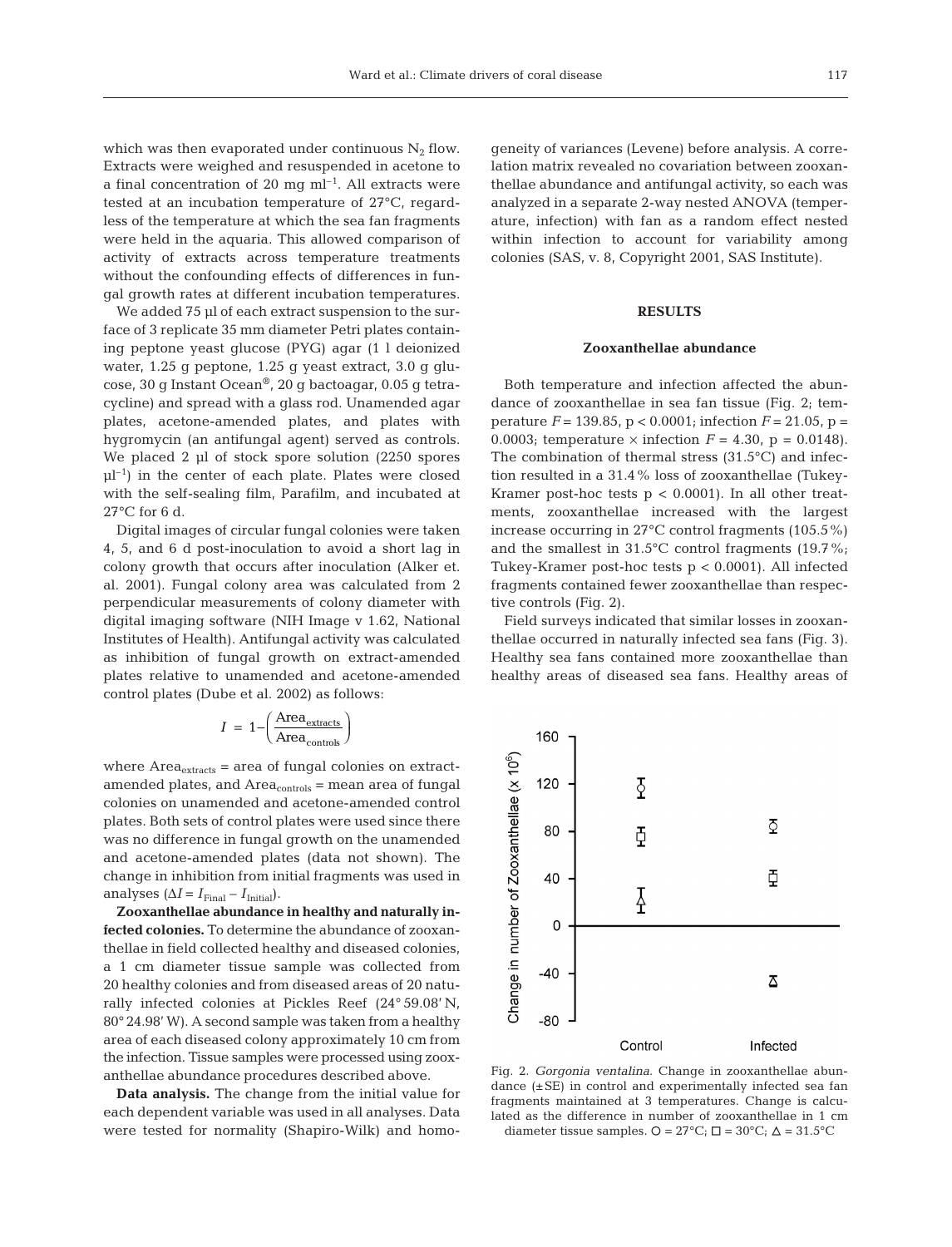117

which was then evaporated under continuous  $N_2$  flow. Extracts were weighed and resuspended in acetone to a final concentration of 20 mg  $ml^{-1}$ . All extracts were tested at an incubation temperature of 27°C, regardless of the temperature at which the sea fan fragments were held in the aquaria. This allowed comparison of activity of extracts across temperature treatments without the confounding effects of differences in fungal growth rates at different incubation temperatures.

We added 75 μl of each extract suspension to the surface of 3 replicate 35 mm diameter Petri plates containing peptone yeast glucose (PYG) agar (1 l deionized water, 1.25 g peptone, 1.25 g yeast extract, 3.0 g glucose, 30 g Instant Ocean®, 20 g bactoagar, 0.05 g tetracycline) and spread with a glass rod. Unamended agar plates, acetone-amended plates, and plates with hygromycin (an antifungal agent) served as controls. We placed 2 μl of stock spore solution (2250 spores  $\mu$ l<sup>-1</sup>) in the center of each plate. Plates were closed with the self-sealing film, Parafilm, and incubated at  $27^{\circ}$ C for 6 d.

Digital images of circular fungal colonies were taken 4, 5, and 6 d post-inoculation to avoid a short lag in colony growth that occurs after inoculation (Alker et. al. 2001). Fungal colony area was calculated from 2 perpendicular measurements of colony diameter with digital imaging software (NIH Image v 1.62, National Institutes of Health). Antifungal activity was calculated as inhibition of fungal growth on extract-amended plates relative to unamended and acetone-amended control plates (Dube et al. 2002) as follows:

$$
I = 1 - \left(\frac{\text{Area}_{\text{extracts}}}{\text{Area}_{\text{controls}}}\right)
$$

where  $Area_{\text{extracts}} = area of fungal colonies on extract$ amended plates, and  $Area_{controls}$  = mean area of fungal colonies on unamended and acetone-amended control plates. Both sets of control plates were used since there was no difference in fungal growth on the unamended and acetone-amended plates (data not shown). The change in inhibition from initial fragments was used in analyses  $(\Delta I = I_{\text{Final}} - I_{\text{Initial}}).$ 

**Zooxanthellae abundance in healthy and naturally infected colonies.** To determine the abundance of zooxanthellae in field collected healthy and diseased colonies, a 1 cm diameter tissue sample was collected from 20 healthy colonies and from diseased areas of 20 naturally infected colonies at Pickles Reef (24° 59.08' N, 80° 24.98' W). A second sample was taken from a healthy area of each diseased colony approximately 10 cm from the infection. Tissue samples were processed using zooxanthellae abundance procedures described above.

**Data analysis.** The change from the initial value for each dependent variable was used in all analyses. Data were tested for normality (Shapiro-Wilk) and homogeneity of variances (Levene) before analysis. A correlation matrix revealed no covariation between zooxanthellae abundance and antifungal activity, so each was analyzed in a separate 2-way nested ANOVA (temperature, infection) with fan as a random effect nested within infection to account for variability among colonies (SAS, v. 8, Copyright 2001, SAS Institute).

# **RESULTS**

## **Zooxanthellae abundance**

Both temperature and infection affected the abundance of zooxanthellae in sea fan tissue (Fig. 2; temperature  $F = 139.85$ ,  $p < 0.0001$ ; infection  $F = 21.05$ ,  $p =$ 0.0003; temperature  $\times$  infection  $F = 4.30$ ,  $p = 0.0148$ ). The combination of thermal stress (31.5°C) and infection resulted in a 31.4% loss of zooxanthellae (Tukey-Kramer post-hoc tests  $p < 0.0001$ ). In all other treatments, zooxanthellae increased with the largest increase occurring in 27°C control fragments (105.5%) and the smallest in 31.5°C control fragments (19.7%; Tukey-Kramer post-hoc tests  $p < 0.0001$ ). All infected fragments contained fewer zooxanthellae than respective controls (Fig. 2).

Field surveys indicated that similar losses in zooxanthellae occurred in naturally infected sea fans (Fig. 3). Healthy sea fans contained more zooxanthellae than healthy areas of diseased sea fans. Healthy areas of



Fig. 2. *Gorgonia ventalina*. Change in zooxanthellae abundance (±SE) in control and experimentally infected sea fan fragments maintained at 3 temperatures. Change is calculated as the difference in number of zooxanthellae in 1 cm diameter tissue samples.  $Q = 27^{\circ}C$ ;  $\Box = 30^{\circ}C$ ;  $\Delta = 31.5^{\circ}C$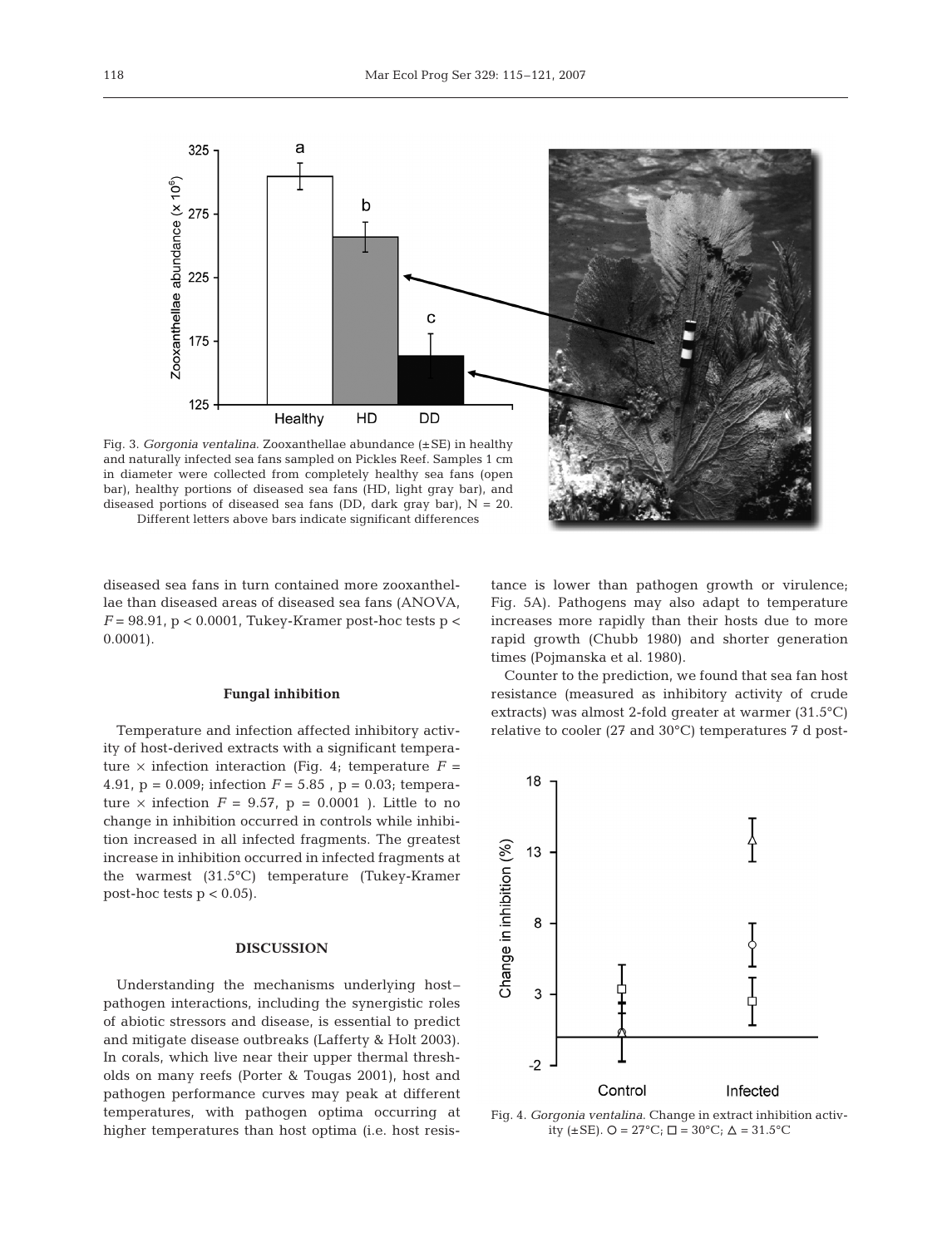

a

 $\mathsf b$ 

 $\mathbf c$ 



diseased sea fans in turn contained more zooxanthellae than diseased areas of diseased sea fans (ANOVA,  $F = 98.91$ ,  $p < 0.0001$ , Tukey-Kramer post-hoc tests  $p <$ 0.0001).

### **Fungal inhibition**

Temperature and infection affected inhibitory activity of host-derived extracts with a significant temperature  $\times$  infection interaction (Fig. 4; temperature  $F =$ 4.91,  $p = 0.009$ ; infection  $F = 5.85$ ,  $p = 0.03$ ; temperature  $\times$  infection  $F = 9.57$ ,  $p = 0.0001$  ). Little to no change in inhibition occurred in controls while inhibition increased in all infected fragments. The greatest increase in inhibition occurred in infected fragments at the warmest (31.5°C) temperature (Tukey-Kramer post-hoc tests  $p < 0.05$ ).

### **DISCUSSION**

Understanding the mechanisms underlying host– pathogen interactions, including the synergistic roles of abiotic stressors and disease, is essential to predict and mitigate disease outbreaks (Lafferty & Holt 2003). In corals, which live near their upper thermal thresholds on many reefs (Porter & Tougas 2001), host and pathogen performance curves may peak at different temperatures, with pathogen optima occurring at higher temperatures than host optima (i.e. host resis-

tance is lower than pathogen growth or virulence; Fig. 5A). Pathogens may also adapt to temperature increases more rapidly than their hosts due to more rapid growth (Chubb 1980) and shorter generation times (Pojmanska et al. 1980).

Counter to the prediction, we found that sea fan host resistance (measured as inhibitory activity of crude extracts) was almost 2-fold greater at warmer (31.5°C) relative to cooler (27 and 30°C) temperatures 7 d post-



Fig. 4. *Gorgonia ventalina*. Change in extract inhibition activity ( $\pm$ SE). O = 27°C;  $\Box$  = 30°C;  $\Delta$  = 31.5°C

325

275

225

175

125

Zooxanthellae abundance  $(x 10^6)$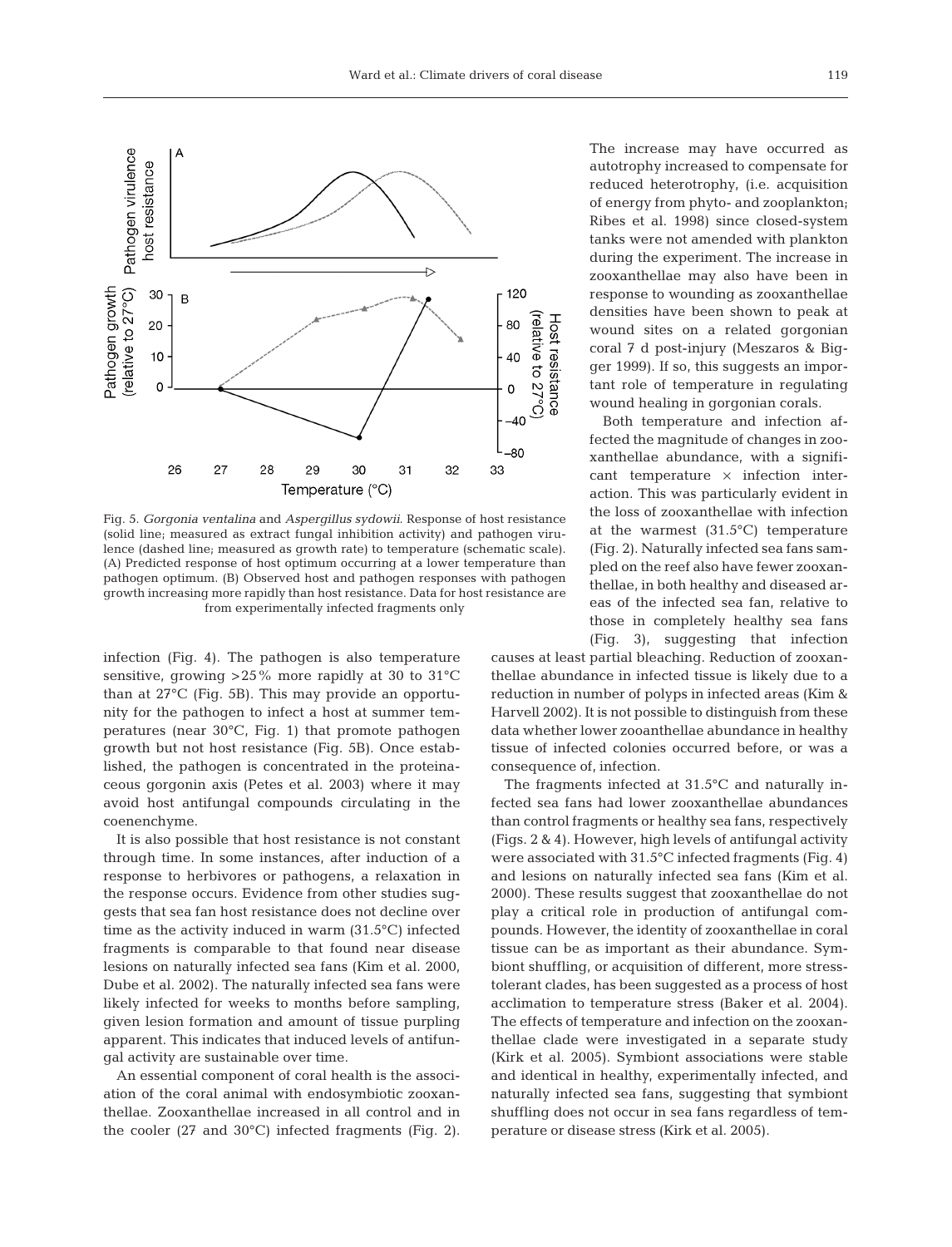

Fig. 5. *Gorgonia ventalina* and *Aspergillus sydowii*. Response of host resistance (solid line; measured as extract fungal inhibition activity) and pathogen virulence (dashed line; measured as growth rate) to temperature (schematic scale). (A) Predicted response of host optimum occurring at a lower temperature than pathogen optimum. (B) Observed host and pathogen responses with pathogen growth increasing more rapidly than host resistance. Data for host resistance are from experimentally infected fragments only

infection (Fig. 4). The pathogen is also temperature sensitive, growing  $>25\%$  more rapidly at 30 to 31 °C than at 27°C (Fig. 5B). This may provide an opportunity for the pathogen to infect a host at summer temperatures (near 30°C, Fig. 1) that promote pathogen growth but not host resistance (Fig. 5B). Once established, the pathogen is concentrated in the proteinaceous gorgonin axis (Petes et al. 2003) where it may avoid host antifungal compounds circulating in the coenenchyme.

It is also possible that host resistance is not constant through time. In some instances, after induction of a response to herbivores or pathogens, a relaxation in the response occurs. Evidence from other studies suggests that sea fan host resistance does not decline over time as the activity induced in warm (31.5°C) infected fragments is comparable to that found near disease lesions on naturally infected sea fans (Kim et al. 2000, Dube et al. 2002). The naturally infected sea fans were likely infected for weeks to months before sampling, given lesion formation and amount of tissue purpling apparent. This indicates that induced levels of antifungal activity are sustainable over time.

An essential component of coral health is the association of the coral animal with endosymbiotic zooxanthellae. Zooxanthellae increased in all control and in the cooler (27 and 30°C) infected fragments (Fig. 2).

The increase may have occurred as autotrophy increased to compensate for reduced heterotrophy, (i.e. acquisition of energy from phyto- and zooplankton; Ribes et al. 1998) since closed-system tanks were not amended with plankton during the experiment. The increase in zooxanthellae may also have been in response to wounding as zooxanthellae densities have been shown to peak at wound sites on a related gorgonian coral 7 d post-injury (Meszaros & Bigger 1999). If so, this suggests an important role of temperature in regulating wound healing in gorgonian corals.

Both temperature and infection affected the magnitude of changes in zooxanthellae abundance, with a significant temperature  $\times$  infection interaction. This was particularly evident in the loss of zooxanthellae with infection at the warmest (31.5°C) temperature (Fig. 2). Naturally infected sea fans sampled on the reef also have fewer zooxanthellae, in both healthy and diseased areas of the infected sea fan, relative to those in completely healthy sea fans (Fig. 3), suggesting that infection

causes at least partial bleaching. Reduction of zooxanthellae abundance in infected tissue is likely due to a reduction in number of polyps in infected areas (Kim & Harvell 2002). It is not possible to distinguish from these data whether lower zooanthellae abundance in healthy tissue of infected colonies occurred before, or was a consequence of, infection.

The fragments infected at 31.5°C and naturally infected sea fans had lower zooxanthellae abundances than control fragments or healthy sea fans, respectively (Figs. 2 & 4). However, high levels of antifungal activity were associated with 31.5°C infected fragments (Fig. 4) and lesions on naturally infected sea fans (Kim et al. 2000). These results suggest that zooxanthellae do not play a critical role in production of antifungal compounds. However, the identity of zooxanthellae in coral tissue can be as important as their abundance. Symbiont shuffling, or acquisition of different, more stresstolerant clades, has been suggested as a process of host acclimation to temperature stress (Baker et al. 2004). The effects of temperature and infection on the zooxanthellae clade were investigated in a separate study (Kirk et al. 2005). Symbiont associations were stable and identical in healthy, experimentally infected, and naturally infected sea fans, suggesting that symbiont shuffling does not occur in sea fans regardless of temperature or disease stress (Kirk et al. 2005).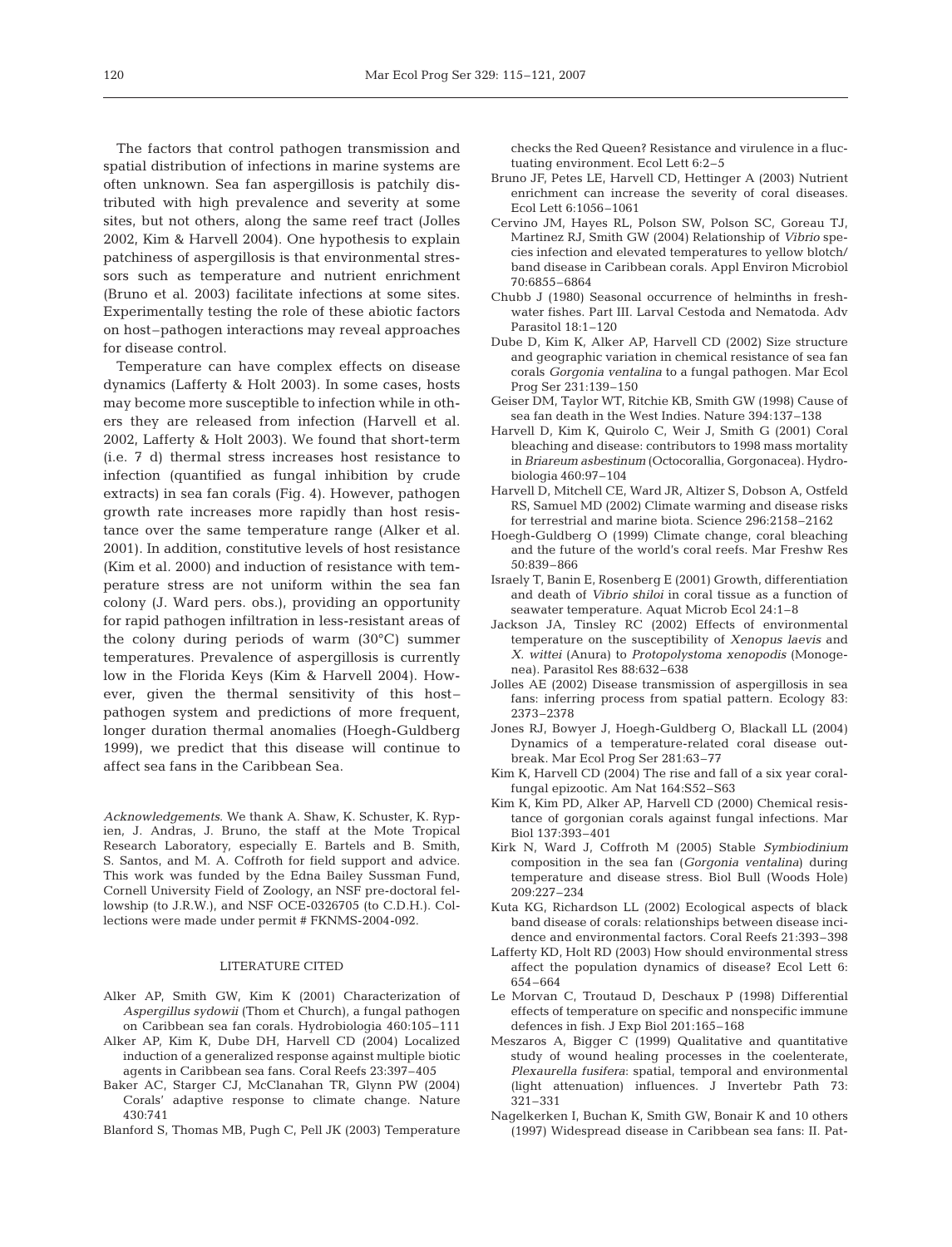The factors that control pathogen transmission and spatial distribution of infections in marine systems are often unknown. Sea fan aspergillosis is patchily distributed with high prevalence and severity at some sites, but not others, along the same reef tract (Jolles 2002, Kim & Harvell 2004). One hypothesis to explain patchiness of aspergillosis is that environmental stressors such as temperature and nutrient enrichment (Bruno et al. 2003) facilitate infections at some sites. Experimentally testing the role of these abiotic factors on host–pathogen interactions may reveal approaches for disease control.

Temperature can have complex effects on disease dynamics (Lafferty & Holt 2003). In some cases, hosts may become more susceptible to infection while in others they are released from infection (Harvell et al. 2002, Lafferty & Holt 2003). We found that short-term (i.e. 7 d) thermal stress increases host resistance to infection (quantified as fungal inhibition by crude extracts) in sea fan corals (Fig. 4). However, pathogen growth rate increases more rapidly than host resistance over the same temperature range (Alker et al. 2001). In addition, constitutive levels of host resistance (Kim et al*.* 2000) and induction of resistance with temperature stress are not uniform within the sea fan colony (J. Ward pers. obs.), providing an opportunity for rapid pathogen infiltration in less-resistant areas of the colony during periods of warm (30°C) summer temperatures. Prevalence of aspergillosis is currently low in the Florida Keys (Kim & Harvell 2004). However, given the thermal sensitivity of this host– pathogen system and predictions of more frequent, longer duration thermal anomalies (Hoegh-Guldberg 1999), we predict that this disease will continue to affect sea fans in the Caribbean Sea.

*Acknowledgements*. We thank A. Shaw, K. Schuster, K. Rypien, J. Andras, J. Bruno, the staff at the Mote Tropical Research Laboratory, especially E. Bartels and B. Smith, S. Santos, and M. A. Coffroth for field support and advice. This work was funded by the Edna Bailey Sussman Fund, Cornell University Field of Zoology, an NSF pre-doctoral fellowship (to J.R.W.), and NSF OCE-0326705 (to C.D.H.). Collections were made under permit # FKNMS-2004-092.

#### LITERATURE CITED

- Alker AP, Smith GW, Kim K (2001) Characterization of *Aspergillus sydowii* (Thom et Church), a fungal pathogen on Caribbean sea fan corals. Hydrobiologia 460:105–111
- Alker AP, Kim K, Dube DH, Harvell CD (2004) Localized induction of a generalized response against multiple biotic agents in Caribbean sea fans. Coral Reefs 23:397–405
- Baker AC, Starger CJ, McClanahan TR, Glynn PW (2004) Corals' adaptive response to climate change. Nature 430:741
- Blanford S, Thomas MB, Pugh C, Pell JK (2003) Temperature

checks the Red Queen? Resistance and virulence in a fluctuating environment. Ecol Lett 6:2–5

- Bruno JF, Petes LE, Harvell CD, Hettinger A (2003) Nutrient enrichment can increase the severity of coral diseases. Ecol Lett 6:1056–1061
- Cervino JM, Hayes RL, Polson SW, Polson SC, Goreau TJ, Martinez RJ, Smith GW (2004) Relationship of *Vibrio* species infection and elevated temperatures to yellow blotch/ band disease in Caribbean corals. Appl Environ Microbiol 70:6855–6864
- Chubb J (1980) Seasonal occurrence of helminths in freshwater fishes. Part III. Larval Cestoda and Nematoda. Adv Parasitol 18:1–120
- Dube D, Kim K, Alker AP, Harvell CD (2002) Size structure and geographic variation in chemical resistance of sea fan corals *Gorgonia ventalina* to a fungal pathogen. Mar Ecol Prog Ser 231:139–150
- Geiser DM, Taylor WT, Ritchie KB, Smith GW (1998) Cause of sea fan death in the West Indies. Nature 394:137–138
- Harvell D, Kim K, Quirolo C, Weir J, Smith G (2001) Coral bleaching and disease: contributors to 1998 mass mortality in *Briareum asbestinum* (Octocorallia, Gorgonacea). Hydrobiologia 460:97–104
- Harvell D, Mitchell CE, Ward JR, Altizer S, Dobson A, Ostfeld RS, Samuel MD (2002) Climate warming and disease risks for terrestrial and marine biota. Science 296:2158–2162
- Hoegh-Guldberg O (1999) Climate change, coral bleaching and the future of the world's coral reefs. Mar Freshw Res 50:839–866
- Israely T, Banin E, Rosenberg E (2001) Growth, differentiation and death of *Vibrio shiloi* in coral tissue as a function of seawater temperature. Aquat Microb Ecol 24:1–8
- Jackson JA, Tinsley RC (2002) Effects of environmental temperature on the susceptibility of *Xenopus laevis* and *X. wittei* (Anura) to *Protopolystoma xenopodis* (Monogenea). Parasitol Res 88:632–638
- Jolles AE (2002) Disease transmission of aspergillosis in sea fans: inferring process from spatial pattern. Ecology 83: 2373–2378
- Jones RJ, Bowyer J, Hoegh-Guldberg O, Blackall LL (2004) Dynamics of a temperature-related coral disease outbreak. Mar Ecol Prog Ser 281:63–77
- Kim K, Harvell CD (2004) The rise and fall of a six year coralfungal epizootic. Am Nat 164:S52–S63
- Kim K, Kim PD, Alker AP, Harvell CD (2000) Chemical resistance of gorgonian corals against fungal infections. Mar Biol 137:393–401
- Kirk N, Ward J, Coffroth M (2005) Stable *Symbiodinium* composition in the sea fan (*Gorgonia ventalina*) during temperature and disease stress. Biol Bull (Woods Hole) 209:227–234
- Kuta KG, Richardson LL (2002) Ecological aspects of black band disease of corals: relationships between disease incidence and environmental factors. Coral Reefs 21:393–398
- Lafferty KD, Holt RD (2003) How should environmental stress affect the population dynamics of disease? Ecol Lett 6: 654–664
- Le Morvan C, Troutaud D, Deschaux P (1998) Differential effects of temperature on specific and nonspecific immune defences in fish. J Exp Biol 201:165–168
- Meszaros A, Bigger C (1999) Qualitative and quantitative study of wound healing processes in the coelenterate, *Plexaurella fusifera*: spatial, temporal and environmental (light attenuation) influences. J Invertebr Path 73: 321–331
- Nagelkerken I, Buchan K, Smith GW, Bonair K and 10 others (1997) Widespread disease in Caribbean sea fans: II. Pat-